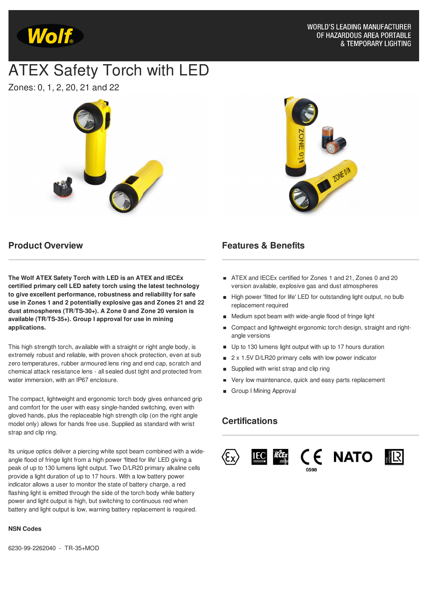

# ATEX Safety Torch with LED

Zones: 0, 1, 2, 20, 21 and 22



**Product Overview**

**The Wolf ATEX Safety Torch with LED is an ATEX and IECEx certified primary cell LED safety torch using the latest technology to give excellent performance, robustness and reliability for safe use in Zones 1 and 2 potentially explosive gas and Zones 21 and 22 dust atmospheres (TR/TS-30+). A Zone 0 and Zone 20 version is available (TR/TS-35+). Group I approval for use in mining applications.**

This high strength torch, available with a straight or right angle body, is extremely robust and reliable, with proven shock protection, even at sub zero temperatures, rubber armoured lens ring and end cap, scratch and chemical attack resistance lens - all sealed dust tight and protected from water immersion, with an IP67 enclosure.

The compact, lightweight and ergonomic torch body gives enhanced grip and comfort for the user with easy single-handed switching, even with gloved hands, plus the replaceable high strength clip (on the right angle model only) allows for hands free use. Supplied as standard with wrist strap and clip ring.

Its unique optics deliver a piercing white spot beam combined with a wideangle flood of fringe light from a high power 'fitted for life' LED giving a peak of up to 130 lumens light output. Two D/LR20 primary alkaline cells provide a light duration of up to 17 hours. With a low battery power indicator allows a user to monitor the state of battery charge, a red flashing light is emitted through the side of the torch body while battery power and light output is high, but switching to continuous red when battery and light output is low, warning battery replacement is required.

#### **NSN Codes**

6230-99-2262040 - TR-35+MOD



#### **Features & Benefits**

- ATEX and IECEx certified for Zones 1 and 21, Zones 0 and 20 version available, explosive gas and dust atmospheres
- High power 'fitted for life' LED for outstanding light output, no bulb replacement required
- Medium spot beam with wide-angle flood of fringe light
- Compact and lightweight ergonomic torch design, straight and rightangle versions
- Up to 130 lumens light output with up to 17 hours duration
- 2 x 1.5V D/LR20 primary cells with low power indicator
- Supplied with wrist strap and clip ring
- Very low maintenance, quick and easy parts replacement
- Group I Mining Approval

#### **Certifications**





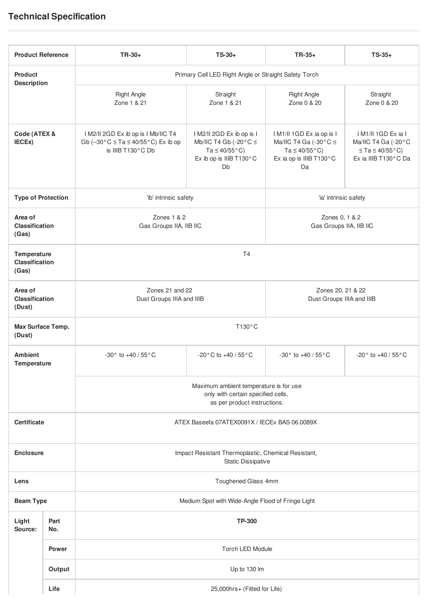## **Technical Specification**

| <b>Product Reference</b>                      |             | TR-30+                                                                                                       | $TS-30+$                                                                                                                        | $TR-35+$                                                                                                                          | $TS-35+$                                                                                                   |  |  |
|-----------------------------------------------|-------------|--------------------------------------------------------------------------------------------------------------|---------------------------------------------------------------------------------------------------------------------------------|-----------------------------------------------------------------------------------------------------------------------------------|------------------------------------------------------------------------------------------------------------|--|--|
| <b>Product</b><br><b>Description</b>          |             | Primary Cell LED Right Angle or Straight Safety Torch                                                        |                                                                                                                                 |                                                                                                                                   |                                                                                                            |  |  |
|                                               |             | <b>Right Angle</b><br>Zone 1 & 21                                                                            | Straight<br>Zone 1 & 21                                                                                                         | <b>Right Angle</b><br>Zone 0 & 20                                                                                                 | Straight<br>Zone 0 & 20                                                                                    |  |  |
| Code (ATEX &<br>IECEx)                        |             | I M2/II 2GD Ex ib op is I Mb/IIC T4<br>Gb $(-30 °C \le Ta \le 40/55 °C)$ Ex ib op<br>is IIIB T130°C Db       | I M2/II 2GD Ex ib op is I<br>Mb/IIC T4 Gb (-20 $\degree$ C $\le$<br>Ta $\leq 40/55^{\circ}$ C)<br>Ex ib op is IIIB T130°C<br>Db | I M1/II 1GD Ex ia op is I<br>Ma/IIC T4 Ga (-30 $^{\circ}$ C $\leq$<br>Ta $\leq 40/55^{\circ}$ C)<br>Ex ia op is IIIB T130°C<br>Da | I M1/II 1GD Ex ia I<br>Ma/IIC T4 Ga (-20°C<br>$\leq$ Ta $\leq$ 40/55 $^{\circ}$ C)<br>Ex ia IIIB T130°C Da |  |  |
| <b>Type of Protection</b>                     |             | 'ib' intrinsic safety                                                                                        |                                                                                                                                 | 'ia' intrinsic safety                                                                                                             |                                                                                                            |  |  |
| Area of<br><b>Classification</b><br>(Gas)     |             | Zones 1 & 2<br>Gas Groups IIA, IIB IIC                                                                       |                                                                                                                                 | Zones 0, 1 & 2<br>Gas Groups IIA, IIB IIC                                                                                         |                                                                                                            |  |  |
| Temperature<br><b>Classification</b><br>(Gas) |             | T <sub>4</sub>                                                                                               |                                                                                                                                 |                                                                                                                                   |                                                                                                            |  |  |
| Area of<br><b>Classification</b><br>(Dust)    |             | Zones 21 and 22<br>Dust Groups IIIA and IIIB                                                                 |                                                                                                                                 | Zones 20, 21 & 22<br>Dust Groups IIIA and IIIB                                                                                    |                                                                                                            |  |  |
| Max Surface Temp.<br>(Dust)                   |             | T130°C                                                                                                       |                                                                                                                                 |                                                                                                                                   |                                                                                                            |  |  |
| <b>Ambient</b><br>Temperature                 |             | -30° to +40 / 55° C                                                                                          | $-20\degree$ C to $+40/55\degree$ C                                                                                             | $-30^{\circ}$ to $+40/55^{\circ}$ C                                                                                               | -20 $^{\circ}$ to +40 / 55 $^{\circ}$ C                                                                    |  |  |
|                                               |             | Maximum ambient temperature is for use<br>only with certain specified cells,<br>as per product instructions. |                                                                                                                                 |                                                                                                                                   |                                                                                                            |  |  |
| <b>Certificate</b>                            |             | ATEX Baseefa 07ATEX0091X / IECEx BAS 06.0089X                                                                |                                                                                                                                 |                                                                                                                                   |                                                                                                            |  |  |
| <b>Enclosure</b>                              |             | Impact Resistant Thermoplastic, Chemical Resistant,<br><b>Static Dissipative</b>                             |                                                                                                                                 |                                                                                                                                   |                                                                                                            |  |  |
| Lens                                          |             | Toughened Glass 4mm                                                                                          |                                                                                                                                 |                                                                                                                                   |                                                                                                            |  |  |
| <b>Beam Type</b>                              |             | Medium Spot with Wide-Angle Flood of Fringe Light                                                            |                                                                                                                                 |                                                                                                                                   |                                                                                                            |  |  |
| Light<br>Source:                              | Part<br>No. | <b>TP-300</b>                                                                                                |                                                                                                                                 |                                                                                                                                   |                                                                                                            |  |  |
|                                               | Power       | Torch LED Module                                                                                             |                                                                                                                                 |                                                                                                                                   |                                                                                                            |  |  |
|                                               | Output      | Up to 130 lm                                                                                                 |                                                                                                                                 |                                                                                                                                   |                                                                                                            |  |  |
|                                               | Life        | 25,000hrs+ (Fitted for Life)                                                                                 |                                                                                                                                 |                                                                                                                                   |                                                                                                            |  |  |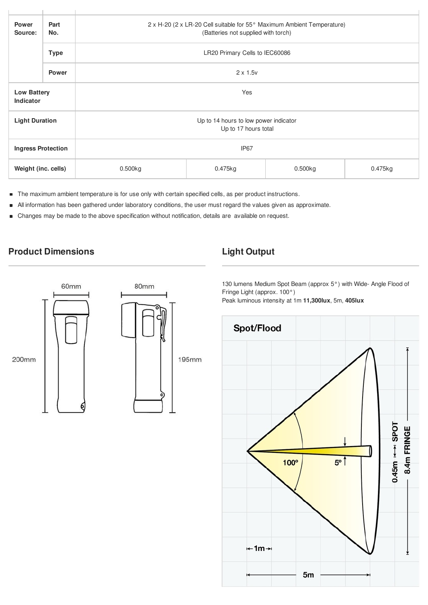| <b>Power</b><br>Part<br>No.<br>Source: |              | 2 x H-20 (2 x LR-20 Cell suitable for 55° Maximum Ambient Temperature)<br>(Batteries not supplied with torch) |         |         |         |  |  |
|----------------------------------------|--------------|---------------------------------------------------------------------------------------------------------------|---------|---------|---------|--|--|
| <b>Type</b>                            |              | LR20 Primary Cells to IEC60086                                                                                |         |         |         |  |  |
|                                        | <b>Power</b> | $2 \times 1.5v$                                                                                               |         |         |         |  |  |
| <b>Low Battery</b><br><b>Indicator</b> |              | Yes                                                                                                           |         |         |         |  |  |
| <b>Light Duration</b>                  |              | Up to 14 hours to low power indicator<br>Up to 17 hours total                                                 |         |         |         |  |  |
| <b>Ingress Protection</b>              |              | IP <sub>67</sub>                                                                                              |         |         |         |  |  |
| Weight (inc. cells)                    |              | 0.500kg                                                                                                       | 0.475kg | 0.500kg | 0.475kg |  |  |

- The maximum ambient temperature is for use only with certain specified cells, as per product instructions.  $\blacksquare$
- All information has been gathered under laboratory conditions, the user must regard the values given as approximate.  $\blacksquare$
- Changes may be made to the above specification without notification, details are available on request. $\blacksquare$

### **Product Dimensions Light Output**



130 lumens Medium Spot Beam (approx 5°) with Wide- Angle Flood of Fringe Light (approx. 100°)

Peak luminous intensity at 1m **11,300lux**, 5m, **405lux**